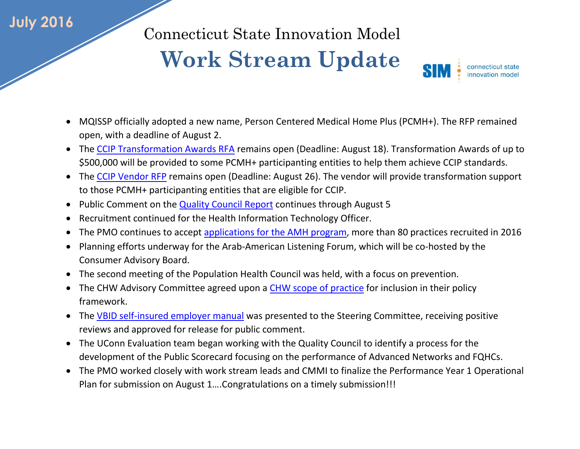## **July 2016**

Connecticut State Innovation Model

## **Work Stream Update**

connecticut state SIN innovation model

- MQISSP officially adopted a new name, Person Centered Medical Home Plus (PCMH+). The RFP remained open, with a deadline of August 2.
- The [CCIP Transformation Awards RFA](http://www.biznet.ct.gov/SCP_Search/BidDetail.aspx?CID=40261) remains open (Deadline: August 18). Transformation Awards of up to \$500,000 will be provided to some PCMH+ participanting entities to help them achieve CCIP standards.
- The [CCIP Vendor RFP](http://www.biznet.ct.gov/SCP_Search/BidDetail.aspx?CID=40365) remains open (Deadline: August 26). The vendor will provide transformation support to those PCMH+ participanting entities that are eligible for CCIP.
- Public Comment on the **[Quality Council Report](http://www.healthreform.ct.gov/ohri/cwp/view.asp?a=2765&q=336272)** continues through August 5
- Recruitment continued for the Health Information Technology Officer.
- The PMO continues to accept [applications for the AMH program,](http://www.biznet.ct.gov/SCP_Search/BidDetail.aspx?CID=38711) more than 80 practices recruited in 2016
- Planning efforts underway for the Arab-American Listening Forum, which will be co-hosted by the Consumer Advisory Board.
- The second meeting of the Population Health Council was held, with a focus on prevention.
- The CHW Advisory Committee agreed upon a [CHW scope of practice](http://www.healthreform.ct.gov/ohri/lib/ohri/work_groups/chw/chw_advisory_committee_recommended_roles_and_skills_7_21_16.pdf) for inclusion in their policy framework.
- The [VBID self-insured employer manual](http://www.healthreform.ct.gov/ohri/lib/ohri/sim/steering_committee/2016/(07-14)/final_self-insured_v-bid_manual_07082016.pdf) was presented to the Steering Committee, receiving positive reviews and approved for release for public comment.
- The UConn Evaluation team began working with the Quality Council to identify a process for the development of the Public Scorecard focusing on the performance of Advanced Networks and FQHCs.
- The PMO worked closely with work stream leads and CMMI to finalize the Performance Year 1 Operational Plan for submission on August 1….Congratulations on a timely submission!!!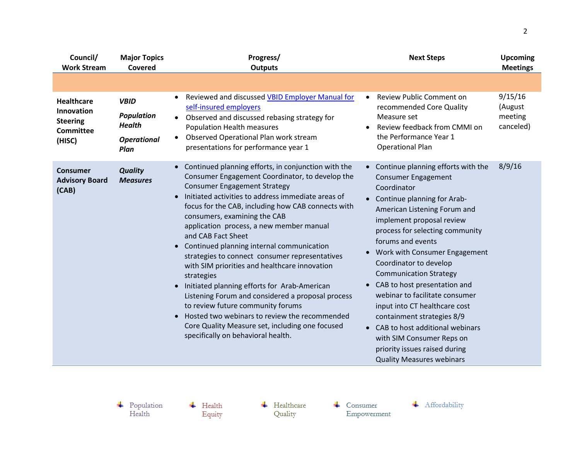| Council/<br><b>Work Stream</b>                                                   | <b>Major Topics</b><br>Covered                                                  | Progress/<br><b>Outputs</b>                                                                                                                                                                                                                                                                                                                                                                                                                                                                                                                                                                                                                                                                                                                                                                                                | <b>Next Steps</b>                                                                                                                                                                                                                                                                                                                                                                                                                                                                                                                                                                                           | <b>Upcoming</b><br><b>Meetings</b>         |
|----------------------------------------------------------------------------------|---------------------------------------------------------------------------------|----------------------------------------------------------------------------------------------------------------------------------------------------------------------------------------------------------------------------------------------------------------------------------------------------------------------------------------------------------------------------------------------------------------------------------------------------------------------------------------------------------------------------------------------------------------------------------------------------------------------------------------------------------------------------------------------------------------------------------------------------------------------------------------------------------------------------|-------------------------------------------------------------------------------------------------------------------------------------------------------------------------------------------------------------------------------------------------------------------------------------------------------------------------------------------------------------------------------------------------------------------------------------------------------------------------------------------------------------------------------------------------------------------------------------------------------------|--------------------------------------------|
|                                                                                  |                                                                                 |                                                                                                                                                                                                                                                                                                                                                                                                                                                                                                                                                                                                                                                                                                                                                                                                                            |                                                                                                                                                                                                                                                                                                                                                                                                                                                                                                                                                                                                             |                                            |
| <b>Healthcare</b><br>Innovation<br><b>Steering</b><br><b>Committee</b><br>(HISC) | <b>VBID</b><br><b>Population</b><br><b>Health</b><br><b>Operational</b><br>Plan | Reviewed and discussed VBID Employer Manual for<br>self-insured employers<br>• Observed and discussed rebasing strategy for<br><b>Population Health measures</b><br>Observed Operational Plan work stream<br>presentations for performance year 1                                                                                                                                                                                                                                                                                                                                                                                                                                                                                                                                                                          | Review Public Comment on<br>$\bullet$<br>recommended Core Quality<br>Measure set<br>Review feedback from CMMI on<br>$\bullet$<br>the Performance Year 1<br><b>Operational Plan</b>                                                                                                                                                                                                                                                                                                                                                                                                                          | 9/15/16<br>(August<br>meeting<br>canceled) |
| Consumer<br><b>Advisory Board</b><br>(CAB)                                       | <b>Quality</b><br><b>Measures</b>                                               | Continued planning efforts, in conjunction with the<br>$\bullet$<br>Consumer Engagement Coordinator, to develop the<br><b>Consumer Engagement Strategy</b><br>Initiated activities to address immediate areas of<br>focus for the CAB, including how CAB connects with<br>consumers, examining the CAB<br>application process, a new member manual<br>and CAB Fact Sheet<br>Continued planning internal communication<br>strategies to connect consumer representatives<br>with SIM priorities and healthcare innovation<br>strategies<br>Initiated planning efforts for Arab-American<br>Listening Forum and considered a proposal process<br>to review future community forums<br>Hosted two webinars to review the recommended<br>Core Quality Measure set, including one focused<br>specifically on behavioral health. | • Continue planning efforts with the<br><b>Consumer Engagement</b><br>Coordinator<br>• Continue planning for Arab-<br>American Listening Forum and<br>implement proposal review<br>process for selecting community<br>forums and events<br>Work with Consumer Engagement<br>Coordinator to develop<br><b>Communication Strategy</b><br>CAB to host presentation and<br>webinar to facilitate consumer<br>input into CT healthcare cost<br>containment strategies 8/9<br>• CAB to host additional webinars<br>with SIM Consumer Reps on<br>priority issues raised during<br><b>Quality Measures webinars</b> | 8/9/16                                     |

 $\begin{array}{c} \text{\textcolor{red}{\textbf{+}}} & \text{Population} \\ \text{Health} \end{array}$ 

 $\overline{\phantom{a}}$  Health Equity  $\leftarrow$  Healthcare Quality

 $\leftarrow$  Consumer Empowerment + Affordability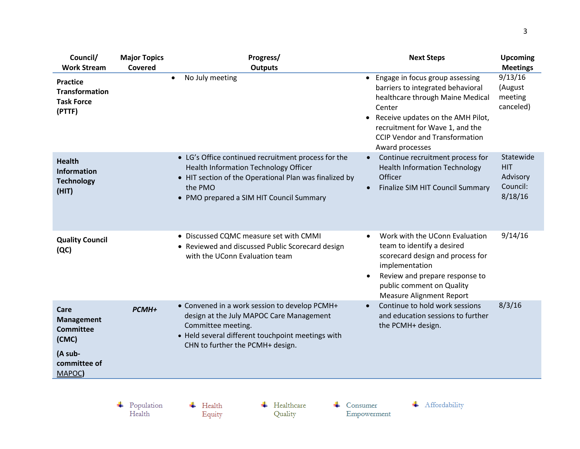| Council/                                                                                      | <b>Major Topics</b> | Progress/                                                                                                                                                                                                            | <b>Next Steps</b>                                                                                                                                                                                                                                                     | <b>Upcoming</b>                                               |
|-----------------------------------------------------------------------------------------------|---------------------|----------------------------------------------------------------------------------------------------------------------------------------------------------------------------------------------------------------------|-----------------------------------------------------------------------------------------------------------------------------------------------------------------------------------------------------------------------------------------------------------------------|---------------------------------------------------------------|
| <b>Work Stream</b><br><b>Practice</b><br><b>Transformation</b><br><b>Task Force</b><br>(PTTF) | Covered             | <b>Outputs</b><br>No July meeting<br>$\bullet$                                                                                                                                                                       | • Engage in focus group assessing<br>barriers to integrated behavioral<br>healthcare through Maine Medical<br>Center<br>Receive updates on the AMH Pilot,<br>$\bullet$<br>recruitment for Wave 1, and the<br><b>CCIP Vendor and Transformation</b><br>Award processes | <b>Meetings</b><br>9/13/16<br>(August<br>meeting<br>canceled) |
| <b>Health</b><br><b>Information</b><br><b>Technology</b><br>(HIT)                             |                     | • LG's Office continued recruitment process for the<br><b>Health Information Technology Officer</b><br>• HIT section of the Operational Plan was finalized by<br>the PMO<br>• PMO prepared a SIM HIT Council Summary | Continue recruitment process for<br>$\bullet$<br><b>Health Information Technology</b><br>Officer<br>Finalize SIM HIT Council Summary<br>$\bullet$                                                                                                                     | Statewide<br><b>HIT</b><br>Advisory<br>Council:<br>8/18/16    |
| <b>Quality Council</b><br>(QC)                                                                |                     | • Discussed CQMC measure set with CMMI<br>• Reviewed and discussed Public Scorecard design<br>with the UConn Evaluation team                                                                                         | Work with the UConn Evaluation<br>$\bullet$<br>team to identify a desired<br>scorecard design and process for<br>implementation<br>Review and prepare response to<br>public comment on Quality<br><b>Measure Alignment Report</b>                                     | 9/14/16                                                       |
| Care<br><b>Management</b><br><b>Committee</b><br>(CMC)<br>(A sub-<br>committee of<br>MAPOC)   | PCMH+               | • Convened in a work session to develop PCMH+<br>design at the July MAPOC Care Management<br>Committee meeting.<br>• Held several different touchpoint meetings with<br>CHN to further the PCMH+ design.             | Continue to hold work sessions<br>$\bullet$<br>and education sessions to further<br>the PCMH+ design.                                                                                                                                                                 | 8/3/16                                                        |
|                                                                                               |                     |                                                                                                                                                                                                                      |                                                                                                                                                                                                                                                                       |                                                               |

 $\begin{array}{c} \text{\textcolor{red}{\textbf{+}}} & \text{Population} \\ \text{Health} \end{array}$ 

 $\overline{\phantom{a}}$  Health Equity  $\leftarrow$  Healthcare Quality

 $\leftarrow$  Consumer Empowerment + Affordability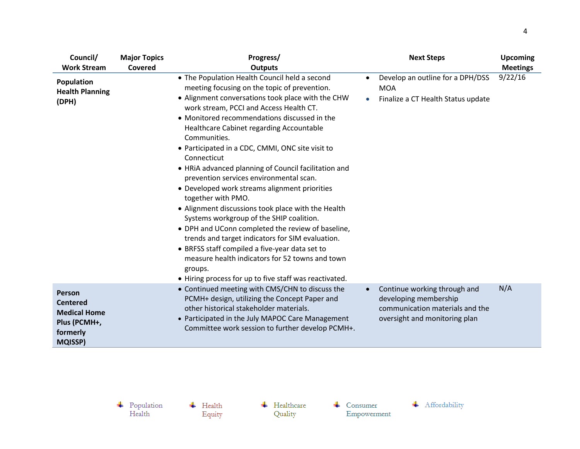| Council/                                                                                              | <b>Major Topics</b> | Progress/                                                                                                                                                                                                                                                                                                                                                                                                                                                                                                                                                                                                                                                                                                                                                                                                                                                                                                                                   |                        | <b>Next Steps</b>                                                                                                         | <b>Upcoming</b> |
|-------------------------------------------------------------------------------------------------------|---------------------|---------------------------------------------------------------------------------------------------------------------------------------------------------------------------------------------------------------------------------------------------------------------------------------------------------------------------------------------------------------------------------------------------------------------------------------------------------------------------------------------------------------------------------------------------------------------------------------------------------------------------------------------------------------------------------------------------------------------------------------------------------------------------------------------------------------------------------------------------------------------------------------------------------------------------------------------|------------------------|---------------------------------------------------------------------------------------------------------------------------|-----------------|
| <b>Work Stream</b>                                                                                    | <b>Covered</b>      | <b>Outputs</b>                                                                                                                                                                                                                                                                                                                                                                                                                                                                                                                                                                                                                                                                                                                                                                                                                                                                                                                              |                        |                                                                                                                           | <b>Meetings</b> |
| Population<br><b>Health Planning</b><br>(DPH)                                                         |                     | • The Population Health Council held a second<br>meeting focusing on the topic of prevention.<br>• Alignment conversations took place with the CHW<br>work stream, PCCI and Access Health CT.<br>• Monitored recommendations discussed in the<br>Healthcare Cabinet regarding Accountable<br>Communities.<br>• Participated in a CDC, CMMI, ONC site visit to<br>Connecticut<br>• HRIA advanced planning of Council facilitation and<br>prevention services environmental scan.<br>• Developed work streams alignment priorities<br>together with PMO.<br>• Alignment discussions took place with the Health<br>Systems workgroup of the SHIP coalition.<br>• DPH and UConn completed the review of baseline,<br>trends and target indicators for SIM evaluation.<br>• BRFSS staff compiled a five-year data set to<br>measure health indicators for 52 towns and town<br>groups.<br>• Hiring process for up to five staff was reactivated. | $\bullet$<br>$\bullet$ | Develop an outline for a DPH/DSS<br><b>MOA</b><br>Finalize a CT Health Status update                                      | 9/22/16         |
| <b>Person</b><br><b>Centered</b><br><b>Medical Home</b><br>Plus (PCMH+,<br>formerly<br><b>MQISSP)</b> |                     | • Continued meeting with CMS/CHN to discuss the<br>PCMH+ design, utilizing the Concept Paper and<br>other historical stakeholder materials.<br>• Participated in the July MAPOC Care Management<br>Committee work session to further develop PCMH+.                                                                                                                                                                                                                                                                                                                                                                                                                                                                                                                                                                                                                                                                                         |                        | Continue working through and<br>developing membership<br>communication materials and the<br>oversight and monitoring plan | N/A             |

 $\overline{\phantom{a}}$  Health Equity  $\leftarrow$  Healthcare Quality

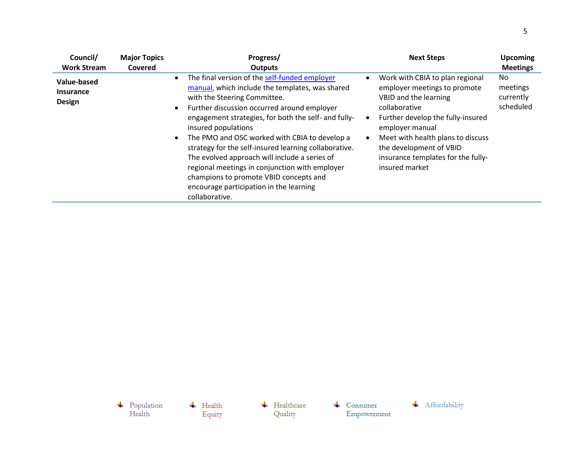| Council/                                         | <b>Major Topics</b> | Progress/                                                                                                                                                                                                                                                                                                                                                                                                                                                                                                                                                                          | <b>Next Steps</b>                                                                                                                                                                                                                                                                         | <b>Upcoming</b>                           |
|--------------------------------------------------|---------------------|------------------------------------------------------------------------------------------------------------------------------------------------------------------------------------------------------------------------------------------------------------------------------------------------------------------------------------------------------------------------------------------------------------------------------------------------------------------------------------------------------------------------------------------------------------------------------------|-------------------------------------------------------------------------------------------------------------------------------------------------------------------------------------------------------------------------------------------------------------------------------------------|-------------------------------------------|
| <b>Work Stream</b>                               | Covered             | <b>Outputs</b>                                                                                                                                                                                                                                                                                                                                                                                                                                                                                                                                                                     |                                                                                                                                                                                                                                                                                           | <b>Meetings</b>                           |
| Value-based<br><b>Insurance</b><br><b>Design</b> |                     | The final version of the self-funded employer<br>manual, which include the templates, was shared<br>with the Steering Committee.<br>Further discussion occurred around employer<br>engagement strategies, for both the self- and fully-<br>insured populations<br>The PMO and OSC worked with CBIA to develop a<br>strategy for the self-insured learning collaborative.<br>The evolved approach will include a series of<br>regional meetings in conjunction with employer<br>champions to promote VBID concepts and<br>encourage participation in the learning<br>collaborative. | Work with CBIA to plan regional<br>employer meetings to promote<br>VBID and the learning<br>collaborative<br>Further develop the fully-insured<br>employer manual<br>Meet with health plans to discuss<br>the development of VBID<br>insurance templates for the fully-<br>insured market | No.<br>meetings<br>currently<br>scheduled |

 $\begin{array}{c} \text{\textcolor{red}{\textbf{+}}} & \text{Population} \\ \text{Health} \end{array}$ + Affordability  $\leftarrow$  Healthcare  $\overline{\phantom{a}}$  Health  $\leftarrow$  Consumer Quality Empowerment Equity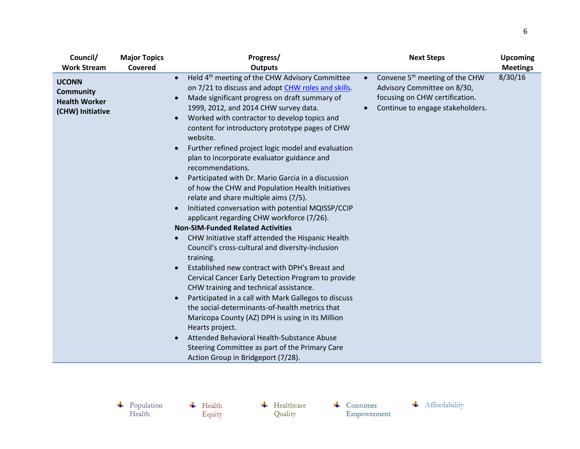| Council/                                                                                           | <b>Major Topics</b> | Progress/                                                                                                                                                                                                                                                                                                                                                                                                                                                                                                                                                                                                                                                                                                                                                                                                                                                                                                                                                                                                                                                                                                                                                                                                                                                                                                                                                                        | <b>Next Steps</b>                                                                                                                                            | <b>Upcoming</b>            |
|----------------------------------------------------------------------------------------------------|---------------------|----------------------------------------------------------------------------------------------------------------------------------------------------------------------------------------------------------------------------------------------------------------------------------------------------------------------------------------------------------------------------------------------------------------------------------------------------------------------------------------------------------------------------------------------------------------------------------------------------------------------------------------------------------------------------------------------------------------------------------------------------------------------------------------------------------------------------------------------------------------------------------------------------------------------------------------------------------------------------------------------------------------------------------------------------------------------------------------------------------------------------------------------------------------------------------------------------------------------------------------------------------------------------------------------------------------------------------------------------------------------------------|--------------------------------------------------------------------------------------------------------------------------------------------------------------|----------------------------|
| <b>Work Stream</b><br><b>UCONN</b><br><b>Community</b><br><b>Health Worker</b><br>(CHW) Initiative | Covered             | <b>Outputs</b><br>Held 4 <sup>th</sup> meeting of the CHW Advisory Committee<br>$\bullet$<br>on 7/21 to discuss and adopt CHW roles and skills.<br>Made significant progress on draft summary of<br>1999, 2012, and 2014 CHW survey data.<br>Worked with contractor to develop topics and<br>content for introductory prototype pages of CHW<br>website.<br>Further refined project logic model and evaluation<br>plan to incorporate evaluator guidance and<br>recommendations.<br>Participated with Dr. Mario Garcia in a discussion<br>of how the CHW and Population Health Initiatives<br>relate and share multiple aims (7/5).<br>Initiated conversation with potential MQISSP/CCIP<br>applicant regarding CHW workforce (7/26).<br><b>Non-SIM-Funded Related Activities</b><br>CHW Initiative staff attended the Hispanic Health<br>Council's cross-cultural and diversity-inclusion<br>training.<br>Established new contract with DPH's Breast and<br>Cervical Cancer Early Detection Program to provide<br>CHW training and technical assistance.<br>Participated in a call with Mark Gallegos to discuss<br>the social-determinants-of-health metrics that<br>Maricopa County (AZ) DPH is using in its Million<br>Hearts project.<br>Attended Behavioral Health-Substance Abuse<br>Steering Committee as part of the Primary Care<br>Action Group in Bridgeport (7/28). | Convene 5 <sup>th</sup> meeting of the CHW<br>$\bullet$<br>Advisory Committee on 8/30,<br>focusing on CHW certification.<br>Continue to engage stakeholders. | <b>Meetings</b><br>8/30/16 |

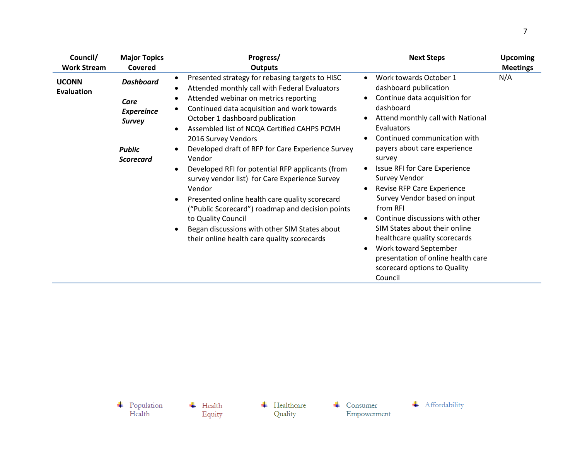| Council/                   | <b>Major Topics</b>                                                                                 | Progress/                                                                                                                                                                                                                                                                                                                                                                                                                                                                                                                                                                                                                                                                                                                      | <b>Next Steps</b>                                                                                                                                                                                                                                                                                                                                                                                                                                                                                                                                                                                | <b>Upcoming</b> |
|----------------------------|-----------------------------------------------------------------------------------------------------|--------------------------------------------------------------------------------------------------------------------------------------------------------------------------------------------------------------------------------------------------------------------------------------------------------------------------------------------------------------------------------------------------------------------------------------------------------------------------------------------------------------------------------------------------------------------------------------------------------------------------------------------------------------------------------------------------------------------------------|--------------------------------------------------------------------------------------------------------------------------------------------------------------------------------------------------------------------------------------------------------------------------------------------------------------------------------------------------------------------------------------------------------------------------------------------------------------------------------------------------------------------------------------------------------------------------------------------------|-----------------|
| <b>Work Stream</b>         | Covered                                                                                             | <b>Outputs</b>                                                                                                                                                                                                                                                                                                                                                                                                                                                                                                                                                                                                                                                                                                                 |                                                                                                                                                                                                                                                                                                                                                                                                                                                                                                                                                                                                  | <b>Meetings</b> |
| <b>UCONN</b><br>Evaluation | <b>Dashboard</b><br>Care<br><b>Expereince</b><br><b>Survey</b><br><b>Public</b><br><b>Scorecard</b> | Presented strategy for rebasing targets to HISC<br>٠<br>Attended monthly call with Federal Evaluators<br>Attended webinar on metrics reporting<br>Continued data acquisition and work towards<br>October 1 dashboard publication<br>Assembled list of NCQA Certified CAHPS PCMH<br>2016 Survey Vendors<br>Developed draft of RFP for Care Experience Survey<br>Vendor<br>Developed RFI for potential RFP applicants (from<br>$\bullet$<br>survey vendor list) for Care Experience Survey<br>Vendor<br>Presented online health care quality scorecard<br>("Public Scorecard") roadmap and decision points<br>to Quality Council<br>Began discussions with other SIM States about<br>their online health care quality scorecards | Work towards October 1<br>dashboard publication<br>Continue data acquisition for<br>dashboard<br>Attend monthly call with National<br>Evaluators<br>Continued communication with<br>payers about care experience<br>survey<br><b>Issue RFI for Care Experience</b><br><b>Survey Vendor</b><br>Revise RFP Care Experience<br>$\bullet$<br>Survey Vendor based on input<br>from RFI<br>Continue discussions with other<br>SIM States about their online<br>healthcare quality scorecards<br>Work toward September<br>presentation of online health care<br>scorecard options to Quality<br>Council | N/A             |

 $\overline{\phantom{a}}$  Health Equity  $\leftarrow$  Healthcare Quality

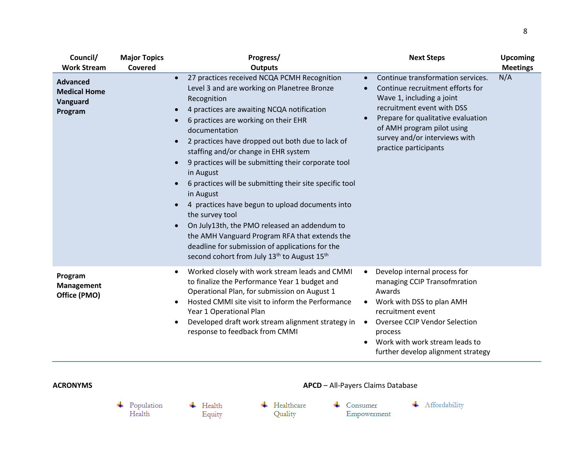| Council/<br><b>Work Stream</b>                                | <b>Major Topics</b><br>Covered | Progress/<br><b>Outputs</b>                                                                                                                                                                                                                                                                                                                                                                                                                                                                                                                                                                                                                                                                                                                                                                                                                          | <b>Next Steps</b>                                                                                                                                                                                                                                                                        | <b>Upcoming</b><br><b>Meetings</b> |
|---------------------------------------------------------------|--------------------------------|------------------------------------------------------------------------------------------------------------------------------------------------------------------------------------------------------------------------------------------------------------------------------------------------------------------------------------------------------------------------------------------------------------------------------------------------------------------------------------------------------------------------------------------------------------------------------------------------------------------------------------------------------------------------------------------------------------------------------------------------------------------------------------------------------------------------------------------------------|------------------------------------------------------------------------------------------------------------------------------------------------------------------------------------------------------------------------------------------------------------------------------------------|------------------------------------|
| <b>Advanced</b><br><b>Medical Home</b><br>Vanguard<br>Program |                                | 27 practices received NCQA PCMH Recognition<br>$\bullet$<br>Level 3 and are working on Planetree Bronze<br>Recognition<br>4 practices are awaiting NCQA notification<br>$\bullet$<br>6 practices are working on their EHR<br>$\bullet$<br>documentation<br>2 practices have dropped out both due to lack of<br>$\bullet$<br>staffing and/or change in EHR system<br>9 practices will be submitting their corporate tool<br>$\bullet$<br>in August<br>6 practices will be submitting their site specific tool<br>in August<br>4 practices have begun to upload documents into<br>$\bullet$<br>the survey tool<br>On July13th, the PMO released an addendum to<br>$\bullet$<br>the AMH Vanguard Program RFA that extends the<br>deadline for submission of applications for the<br>second cohort from July 13 <sup>th</sup> to August 15 <sup>th</sup> | Continue transformation services.<br>$\bullet$<br>Continue recruitment efforts for<br>Wave 1, including a joint<br>recruitment event with DSS<br>Prepare for qualitative evaluation<br>$\bullet$<br>of AMH program pilot using<br>survey and/or interviews with<br>practice participants | N/A                                |
| Program<br><b>Management</b><br>Office (PMO)                  |                                | Worked closely with work stream leads and CMMI<br>to finalize the Performance Year 1 budget and<br>Operational Plan, for submission on August 1<br>Hosted CMMI site visit to inform the Performance<br>$\bullet$<br>Year 1 Operational Plan<br>Developed draft work stream alignment strategy in<br>$\bullet$<br>response to feedback from CMMI                                                                                                                                                                                                                                                                                                                                                                                                                                                                                                      | Develop internal process for<br>managing CCIP Transofmration<br>Awards<br>Work with DSS to plan AMH<br>recruitment event<br><b>Oversee CCIP Vendor Selection</b><br>$\bullet$<br>process<br>Work with work stream leads to<br>further develop alignment strategy                         |                                    |
| <b>ACRONYMS</b>                                               |                                |                                                                                                                                                                                                                                                                                                                                                                                                                                                                                                                                                                                                                                                                                                                                                                                                                                                      | APCD - All-Payers Claims Database                                                                                                                                                                                                                                                        |                                    |
|                                                               | Population<br>Health           | Healthcare<br>Health<br>Quality<br>Equity                                                                                                                                                                                                                                                                                                                                                                                                                                                                                                                                                                                                                                                                                                                                                                                                            | Affordability<br>Consumer<br>Empowerment                                                                                                                                                                                                                                                 |                                    |

8